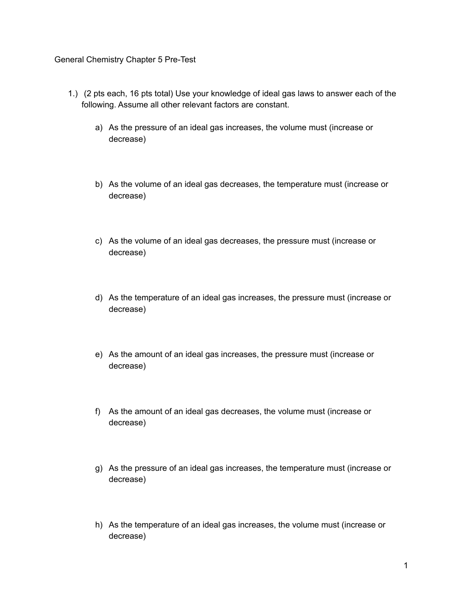## General Chemistry Chapter 5 Pre-Test

- 1.) (2 pts each, 16 pts total) Use your knowledge of ideal gas laws to answer each of the following. Assume all other relevant factors are constant.
	- a) As the pressure of an ideal gas increases, the volume must (increase or decrease)
	- b) As the volume of an ideal gas decreases, the temperature must (increase or decrease)
	- c) As the volume of an ideal gas decreases, the pressure must (increase or decrease)
	- d) As the temperature of an ideal gas increases, the pressure must (increase or decrease)
	- e) As the amount of an ideal gas increases, the pressure must (increase or decrease)
	- f) As the amount of an ideal gas decreases, the volume must (increase or decrease)
	- g) As the pressure of an ideal gas increases, the temperature must (increase or decrease)
	- h) As the temperature of an ideal gas increases, the volume must (increase or decrease)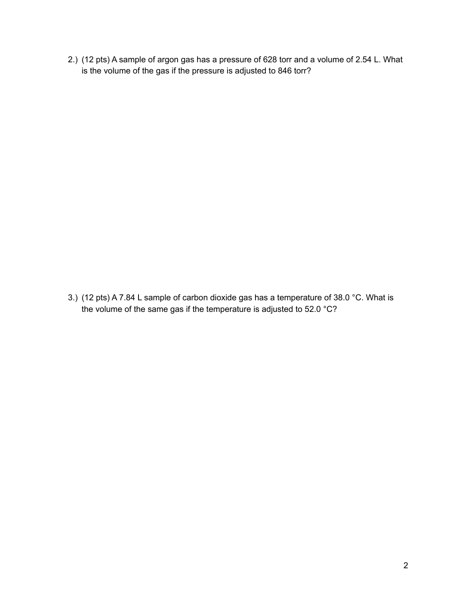2.) (12 pts) A sample of argon gas has a pressure of 628 torr and a volume of 2.54 L. What is the volume of the gas if the pressure is adjusted to 846 torr?

3.) (12 pts) A 7.84 L sample of carbon dioxide gas has a temperature of 38.0 °C. What is the volume of the same gas if the temperature is adjusted to 52.0 °C?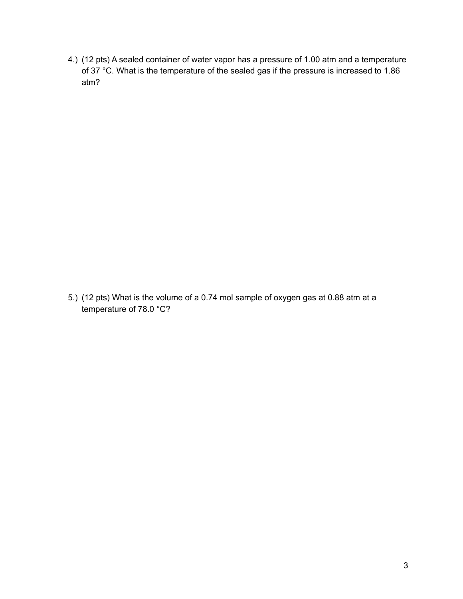4.) (12 pts) A sealed container of water vapor has a pressure of 1.00 atm and a temperature of 37 °C. What is the temperature of the sealed gas if the pressure is increased to 1.86 atm?

5.) (12 pts) What is the volume of a 0.74 mol sample of oxygen gas at 0.88 atm at a temperature of 78.0 °C?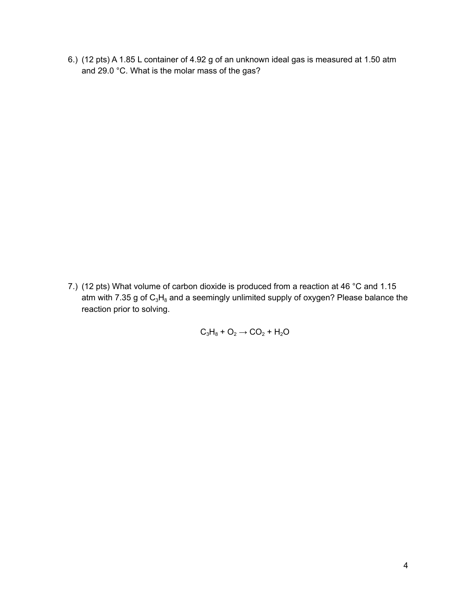6.) (12 pts) A 1.85 L container of 4.92 g of an unknown ideal gas is measured at 1.50 atm and 29.0 °C. What is the molar mass of the gas?

7.) (12 pts) What volume of carbon dioxide is produced from a reaction at 46 °C and 1.15 atm with 7.35 g of  $C_3H_8$  and a seemingly unlimited supply of oxygen? Please balance the reaction prior to solving.

 $C_3H_8 + O_2 \rightarrow CO_2 + H_2O$